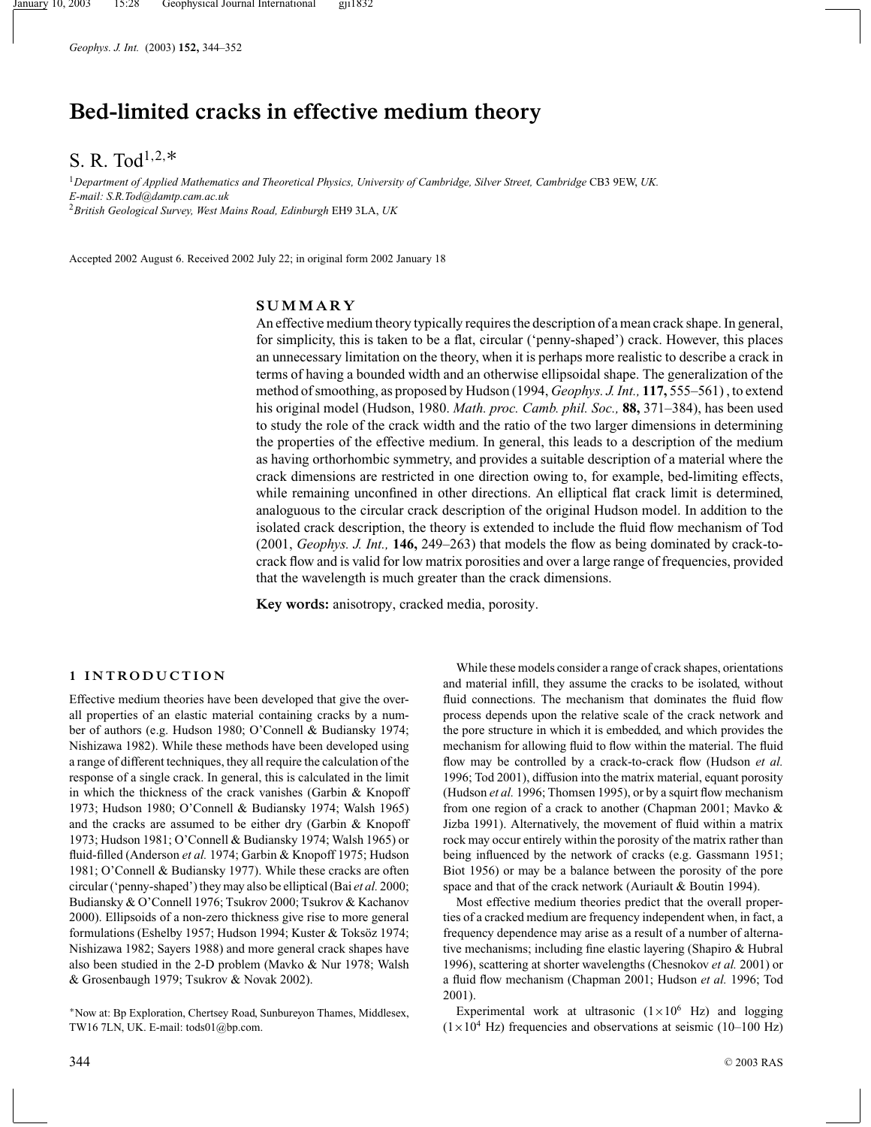*Geophys. J. Int.* (2003) **152,** 344–352

# **Bed-limited cracks in effective medium theory**

## S. R. Tod<sup>1,2,\*</sup>

<sup>1</sup>*Department of Applied Mathematics and Theoretical Physics, University of Cambridge, Silver Street, Cambridge* CB3 9EW, *UK. E-mail: S.R.Tod@damtp.cam.ac.uk* <sup>2</sup>*British Geological Survey, West Mains Road, Edinburgh* EH9 3LA, *UK*

Accepted 2002 August 6. Received 2002 July 22; in original form 2002 January 18

## **SUMMARY**

An effective medium theory typically requires the description of a mean crack shape. In general, for simplicity, this is taken to be a flat, circular ('penny-shaped') crack. However, this places an unnecessary limitation on the theory, when it is perhaps more realistic to describe a crack in terms of having a bounded width and an otherwise ellipsoidal shape. The generalization of the method of smoothing, as proposed by Hudson (1994, *Geophys. J. Int.,* **117,** 555–561) , to extend his original model (Hudson, 1980. *Math. proc. Camb. phil. Soc.,* **88,** 371–384), has been used to study the role of the crack width and the ratio of the two larger dimensions in determining the properties of the effective medium. In general, this leads to a description of the medium as having orthorhombic symmetry, and provides a suitable description of a material where the crack dimensions are restricted in one direction owing to, for example, bed-limiting effects, while remaining unconfined in other directions. An elliptical flat crack limit is determined, analoguous to the circular crack description of the original Hudson model. In addition to the isolated crack description, the theory is extended to include the fluid flow mechanism of Tod (2001, *Geophys. J. Int.,* **146,** 249–263) that models the flow as being dominated by crack-tocrack flow and is valid for low matrix porosities and over a large range of frequencies, provided that the wavelength is much greater than the crack dimensions.

**Key words:** anisotropy, cracked media, porosity.

#### **1 INTRODUCTION**

Effective medium theories have been developed that give the overall properties of an elastic material containing cracks by a number of authors (e.g. Hudson 1980; O'Connell & Budiansky 1974; Nishizawa 1982). While these methods have been developed using a range of different techniques, they all require the calculation of the response of a single crack. In general, this is calculated in the limit in which the thickness of the crack vanishes (Garbin & Knopoff 1973; Hudson 1980; O'Connell & Budiansky 1974; Walsh 1965) and the cracks are assumed to be either dry (Garbin & Knopoff 1973; Hudson 1981; O'Connell & Budiansky 1974; Walsh 1965) or fluid-filled (Anderson *et al.* 1974; Garbin & Knopoff 1975; Hudson 1981; O'Connell & Budiansky 1977). While these cracks are often circular ('penny-shaped') they may also be elliptical (Bai *et al.* 2000; Budiansky & O'Connell 1976; Tsukrov 2000; Tsukrov & Kachanov 2000). Ellipsoids of a non-zero thickness give rise to more general formulations (Eshelby 1957; Hudson 1994; Kuster & Toksöz 1974; Nishizawa 1982; Sayers 1988) and more general crack shapes have also been studied in the 2-D problem (Mavko & Nur 1978; Walsh & Grosenbaugh 1979; Tsukrov & Novak 2002).

<sup>∗</sup>Now at: Bp Exploration, Chertsey Road, Sunbureyon Thames, Middlesex, TW16 7LN, UK. E-mail: tods01@bp.com.

While these models consider a range of crack shapes, orientations and material infill, they assume the cracks to be isolated, without fluid connections. The mechanism that dominates the fluid flow process depends upon the relative scale of the crack network and the pore structure in which it is embedded, and which provides the mechanism for allowing fluid to flow within the material. The fluid flow may be controlled by a crack-to-crack flow (Hudson *et al.* 1996; Tod 2001), diffusion into the matrix material, equant porosity (Hudson *et al.* 1996; Thomsen 1995), or by a squirt flow mechanism from one region of a crack to another (Chapman 2001; Mavko & Jizba 1991). Alternatively, the movement of fluid within a matrix rock may occur entirely within the porosity of the matrix rather than being influenced by the network of cracks (e.g. Gassmann 1951; Biot 1956) or may be a balance between the porosity of the pore space and that of the crack network (Auriault & Boutin 1994).

Most effective medium theories predict that the overall properties of a cracked medium are frequency independent when, in fact, a frequency dependence may arise as a result of a number of alternative mechanisms; including fine elastic layering (Shapiro & Hubral 1996), scattering at shorter wavelengths (Chesnokov *et al.* 2001) or a fluid flow mechanism (Chapman 2001; Hudson *et al.* 1996; Tod 2001).

Experimental work at ultrasonic  $(1 \times 10^6$  Hz) and logging  $(1\times10^4$  Hz) frequencies and observations at seismic (10–100 Hz)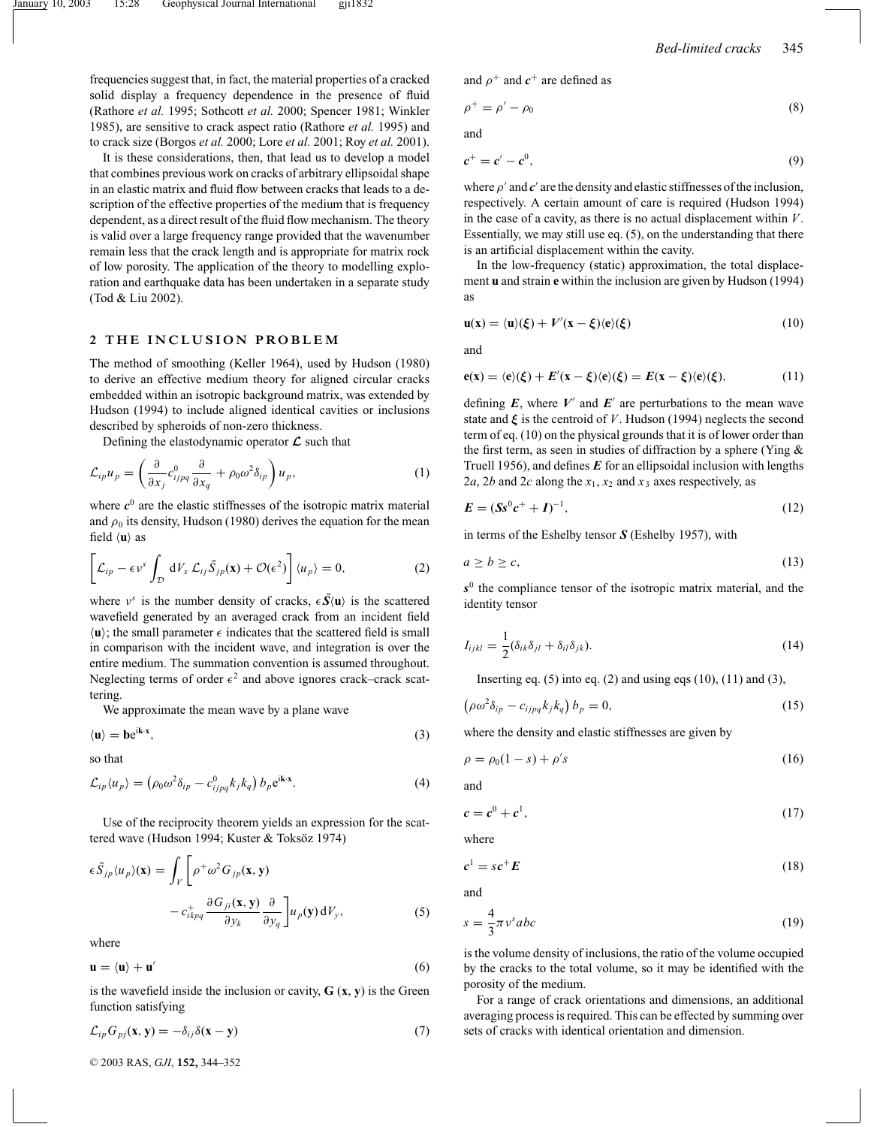frequencies suggest that, in fact, the material properties of a cracked solid display a frequency dependence in the presence of fluid (Rathore *et al.* 1995; Sothcott *et al.* 2000; Spencer 1981; Winkler 1985), are sensitive to crack aspect ratio (Rathore *et al.* 1995) and to crack size (Borgos *et al.* 2000; Lore *et al.* 2001; Roy *et al.* 2001).

It is these considerations, then, that lead us to develop a model that combines previous work on cracks of arbitrary ellipsoidal shape in an elastic matrix and fluid flow between cracks that leads to a description of the effective properties of the medium that is frequency dependent, as a direct result of the fluid flow mechanism. The theory is valid over a large frequency range provided that the wavenumber remain less that the crack length and is appropriate for matrix rock of low porosity. The application of the theory to modelling exploration and earthquake data has been undertaken in a separate study (Tod & Liu 2002).

#### **2 THE INCLUSION PROBLEM**

The method of smoothing (Keller 1964), used by Hudson (1980) to derive an effective medium theory for aligned circular cracks embedded within an isotropic background matrix, was extended by Hudson (1994) to include aligned identical cavities or inclusions described by spheroids of non-zero thickness.

Defining the elastodynamic operator *L* such that

$$
\mathcal{L}_{ip}u_p = \left(\frac{\partial}{\partial x_j}c_{ijpq}^0 \frac{\partial}{\partial x_q} + \rho_0 \omega^2 \delta_{ip}\right) u_p, \tag{1}
$$

where  $c^0$  are the elastic stiffnesses of the isotropic matrix material and  $\rho_0$  its density, Hudson (1980) derives the equation for the mean field  $\langle u \rangle$  as

$$
\left[\mathcal{L}_{ip} - \epsilon \nu^s \int_{\mathcal{D}} dV_x \mathcal{L}_{ij} \bar{S}_{jp}(\mathbf{x}) + \mathcal{O}(\epsilon^2) \right] \langle u_p \rangle = 0, \tag{2}
$$

where  $v^s$  is the number density of cracks,  $\epsilon \bar{S}(\mathbf{u})$  is the scattered wavefield generated by an averaged crack from an incident field  $\langle \mathbf{u} \rangle$ ; the small parameter  $\epsilon$  indicates that the scattered field is small in comparison with the incident wave, and integration is over the entire medium. The summation convention is assumed throughout. Neglecting terms of order  $\epsilon^2$  and above ignores crack–crack scattering.

We approximate the mean wave by a plane wave

$$
\langle \mathbf{u} \rangle = \mathbf{b} e^{i\mathbf{k} \cdot \mathbf{x}},\tag{3}
$$

so that

$$
\mathcal{L}_{ip}\langle u_p\rangle = \left(\rho_0 \omega^2 \delta_{ip} - c_{ijpq}^0 k_j k_q\right) b_p e^{i\mathbf{k} \cdot \mathbf{x}}.\tag{4}
$$

Use of the reciprocity theorem yields an expression for the scattered wave (Hudson 1994; Kuster & Toksöz 1974)

$$
\epsilon \bar{S}_{jp} \langle u_p \rangle(\mathbf{x}) = \int_V \left[ \rho^+ \omega^2 G_{jp}(\mathbf{x}, \mathbf{y}) - c_{ikpq}^+ \frac{\partial G_{ji}(\mathbf{x}, \mathbf{y})}{\partial y_k} \frac{\partial}{\partial y_q} \right] u_p(\mathbf{y}) dV_y, \tag{5}
$$

where

$$
\mathbf{u} = \langle \mathbf{u} \rangle + \mathbf{u}' \tag{6}
$$

is the wavefield inside the inclusion or cavity,  $\mathbf{G}(\mathbf{x}, \mathbf{y})$  is the Green function satisfying

$$
\mathcal{L}_{ip}G_{pj}(\mathbf{x}, \mathbf{y}) = -\delta_{ij}\delta(\mathbf{x} - \mathbf{y})
$$
\n(7)

and  $\rho^+$  and  $c^+$  are defined as

$$
\rho^+ = \rho' - \rho_0 \tag{8}
$$

and

$$
c^+ = c' - c^0,\tag{9}
$$

where  $\rho'$  and  $c'$  are the density and elastic stiffnesses of the inclusion, respectively. A certain amount of care is required (Hudson 1994) in the case of a cavity, as there is no actual displacement within *V*. Essentially, we may still use eq. (5), on the understanding that there is an artificial displacement within the cavity.

In the low-frequency (static) approximation, the total displacement **u** and strain **e** within the inclusion are given by Hudson (1994) as

$$
\mathbf{u}(\mathbf{x}) = \langle \mathbf{u} \rangle(\xi) + V'(\mathbf{x} - \xi) \langle \mathbf{e} \rangle(\xi) \tag{10}
$$

and

$$
\mathbf{e}(\mathbf{x}) = \langle \mathbf{e} \rangle(\xi) + E'(\mathbf{x} - \xi) \langle \mathbf{e} \rangle(\xi) = E(\mathbf{x} - \xi) \langle \mathbf{e} \rangle(\xi), \tag{11}
$$

defining  $E$ , where  $V'$  and  $E'$  are perturbations to the mean wave state and  $\xi$  is the centroid of *V*. Hudson (1994) neglects the second term of eq. (10) on the physical grounds that it is of lower order than the first term, as seen in studies of diffraction by a sphere (Ying  $\&$ Truell 1956), and defines *E* for an ellipsoidal inclusion with lengths 2*a*, 2*b* and 2*c* along the  $x_1$ ,  $x_2$  and  $x_3$  axes respectively, as

$$
E = (Ss^{0}c^{+} + I)^{-1}, \tag{12}
$$

in terms of the Eshelby tensor *S* (Eshelby 1957), with

$$
a \ge b \ge c,\tag{13}
$$

*s*<sup>0</sup> the compliance tensor of the isotropic matrix material, and the identity tensor

$$
I_{ijkl} = \frac{1}{2} (\delta_{ik}\delta_{jl} + \delta_{il}\delta_{jk}).
$$
\n(14)

Inserting eq.  $(5)$  into eq.  $(2)$  and using eqs  $(10)$ ,  $(11)$  and  $(3)$ ,

$$
\left(\rho\omega^2\delta_{ip} - c_{ijpq}k_jk_q\right)b_p = 0,\tag{15}
$$

where the density and elastic stiffnesses are given by

$$
\rho = \rho_0 (1 - s) + \rho' s \tag{16}
$$

and

$$
c = c^0 + c^1,\tag{17}
$$

where

$$
c^1 = sc^+ E \tag{18}
$$

and

$$
s = \frac{4}{3}\pi v^s abc \tag{19}
$$

is the volume density of inclusions, the ratio of the volume occupied by the cracks to the total volume, so it may be identified with the porosity of the medium.

For a range of crack orientations and dimensions, an additional averaging process is required. This can be effected by summing over sets of cracks with identical orientation and dimension.

<sup>C</sup> 2003 RAS, *GJI*, **152,** 344–352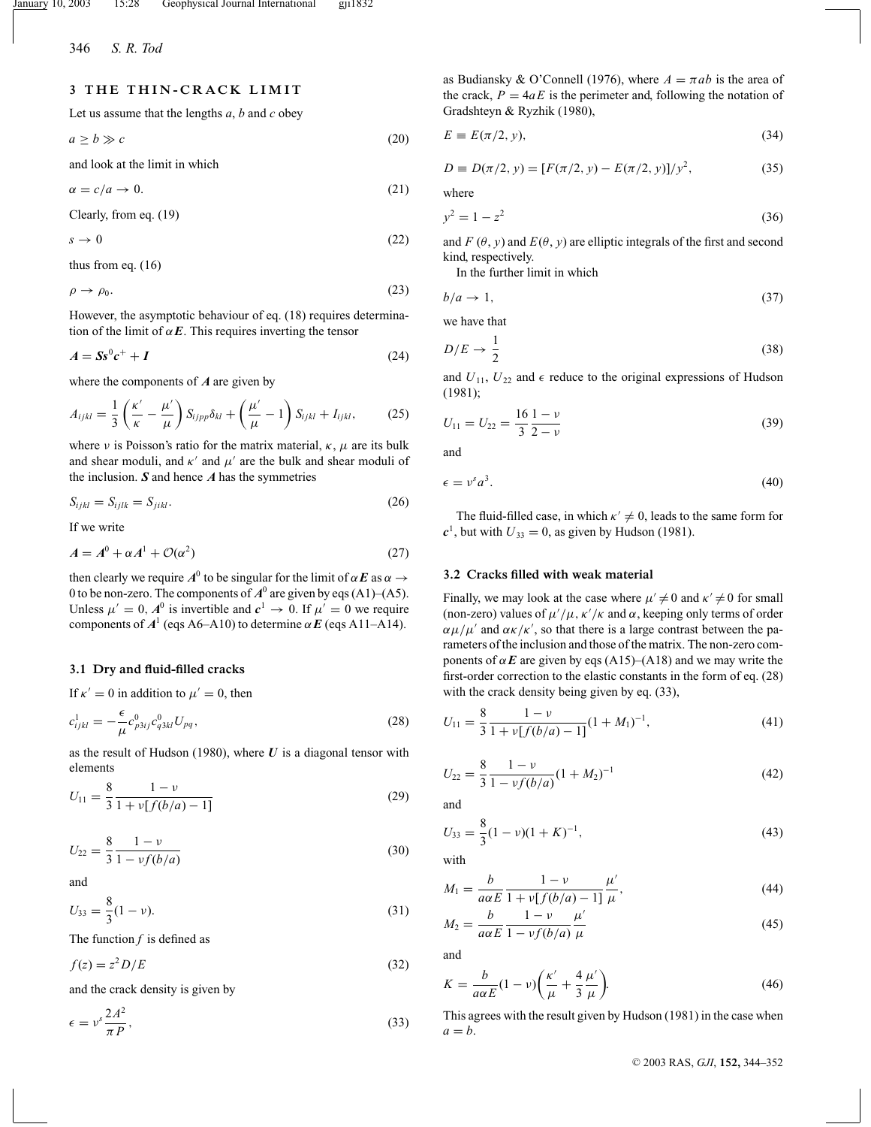## **3 THE THIN-CRACK LIMIT**

Let us assume that the lengths *a*, *b* and *c* obey

 $a > b \gg c$  (20)

and look at the limit in which

 $\alpha = c/a \rightarrow 0.$  (21)

Clearly, from eq. (19)

$$
s \to 0 \tag{22}
$$

thus from eq. (16)

 $\rho \rightarrow \rho_0.$  (23)

However, the asymptotic behaviour of eq. (18) requires determination of the limit of  $\alpha E$ . This requires inverting the tensor

$$
A = Ss^0c^+ + I \tag{24}
$$

where the components of *A* are given by

$$
A_{ijkl} = \frac{1}{3} \left( \frac{\kappa'}{\kappa} - \frac{\mu'}{\mu} \right) S_{ijpp} \delta_{kl} + \left( \frac{\mu'}{\mu} - 1 \right) S_{ijkl} + I_{ijkl}, \tag{25}
$$

where *ν* is Poisson's ratio for the matrix material,  $\kappa$ ,  $\mu$  are its bulk and shear moduli, and  $\kappa'$  and  $\mu'$  are the bulk and shear moduli of the inclusion. *S* and hence *A* has the symmetries

$$
S_{ijkl} = S_{ijkl} = S_{jikl}.\tag{26}
$$

If we write

$$
A = A^0 + \alpha A^1 + \mathcal{O}(\alpha^2)
$$
 (27)

then clearly we require  $A^0$  to be singular for the limit of  $\alpha E$  as  $\alpha \rightarrow$ 0 to be non-zero. The components of  $A^0$  are given by eqs (A1)–(A5). Unless  $\mu' = 0$ ,  $A^0$  is invertible and  $c^1 \rightarrow 0$ . If  $\mu' = 0$  we require components of  $A^1$  (eqs A6–A10) to determine  $\alpha E$  (eqs A11–A14).

#### **3.1 Dry and fluid-filled cracks**

If  $\kappa' = 0$  in addition to  $\mu' = 0$ , then

$$
c_{ijkl}^1 = -\frac{\epsilon}{\mu} c_{p3ij}^0 c_{q3kl}^0 U_{pq},
$$
\n(28)

as the result of Hudson (1980), where *U* is a diagonal tensor with elements

$$
U_{11} = \frac{8}{3} \frac{1 - \nu}{1 + \nu[f(b/a) - 1]}
$$
 (29)

$$
U_{22} = \frac{8}{3} \frac{1 - v}{1 - v f(b/a)}
$$
(30)

and

$$
U_{33} = \frac{8}{3}(1 - \nu). \tag{31}
$$

The function  $f$  is defined as

 $f(z) = z^2 D/E$  (32)

and the crack density is given by

$$
\epsilon = v^s \frac{2A^2}{\pi P},\tag{33}
$$

as Budiansky & O'Connell (1976), where  $A = \pi ab$  is the area of the crack,  $P = 4aE$  is the perimeter and, following the notation of Gradshteyn & Ryzhik (1980),

$$
E \equiv E(\pi/2, y),\tag{34}
$$

$$
D \equiv D(\pi/2, y) = [F(\pi/2, y) - E(\pi/2, y)]/y^2,
$$
\n(35)

where

$$
y^2 = 1 - z^2 \tag{36}
$$

and  $F(\theta, y)$  and  $E(\theta, y)$  are elliptic integrals of the first and second kind, respectively.

In the further limit in which

$$
b/a \to 1,\tag{37}
$$

we have that

$$
D/E \to \frac{1}{2} \tag{38}
$$

and  $U_{11}$ ,  $U_{22}$  and  $\epsilon$  reduce to the original expressions of Hudson (1981);

$$
U_{11} = U_{22} = \frac{16}{3} \frac{1 - \nu}{2 - \nu} \tag{39}
$$

and

$$
\epsilon = v^s a^3. \tag{40}
$$

The fluid-filled case, in which  $\kappa' \neq 0$ , leads to the same form for  $c<sup>1</sup>$ , but with  $U_{33} = 0$ , as given by Hudson (1981).

#### **3.2 Cracks filled with weak material**

Finally, we may look at the case where  $\mu' \neq 0$  and  $\kappa' \neq 0$  for small (non-zero) values of  $\mu'/\mu$ ,  $\kappa'/\kappa$  and  $\alpha$ , keeping only terms of order  $\alpha \mu / \mu'$  and  $\alpha \kappa / \kappa'$ , so that there is a large contrast between the parameters of the inclusion and those of the matrix. The non-zero components of  $\alpha E$  are given by eqs (A15)–(A18) and we may write the first-order correction to the elastic constants in the form of eq. (28) with the crack density being given by eq. (33),

$$
U_{11} = \frac{8}{3} \frac{1 - \nu}{1 + \nu[f(b/a) - 1]} (1 + M_1)^{-1},
$$
\n(41)

$$
U_{22} = \frac{8}{3} \frac{1 - \nu}{1 - \nu f(b/a)} (1 + M_2)^{-1}
$$
 (42)

and

$$
U_{33} = \frac{8}{3}(1 - \nu)(1 + K)^{-1},\tag{43}
$$

with

$$
M_1 = \frac{b}{a\alpha E} \frac{1 - \nu}{1 + \nu[f(b/a) - 1]} \frac{\mu'}{\mu},
$$
(44)

$$
M_2 = \frac{b}{a\alpha E} \frac{1 - \nu}{1 - \nu f(b/a)} \frac{\mu'}{\mu}
$$
\n
$$
(45)
$$

and

$$
K = \frac{b}{a\alpha E} (1 - \nu) \left( \frac{\kappa'}{\mu} + \frac{4}{3} \frac{\mu'}{\mu} \right).
$$
 (46)

This agrees with the result given by Hudson (1981) in the case when  $a = b$ .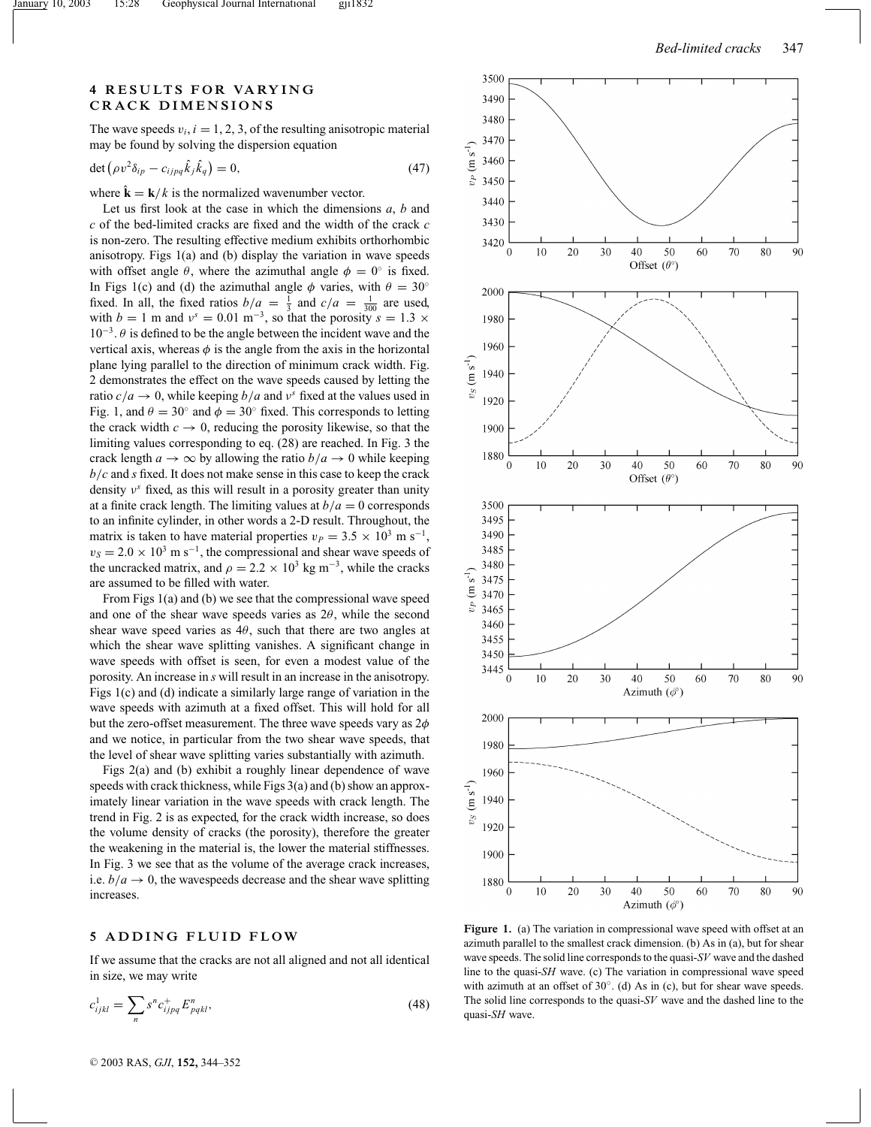## **4 RESULTS FOR VARYING CRACK DIMENSIONS**

The wave speeds  $v_i$ ,  $i = 1, 2, 3$ , of the resulting anisotropic material may be found by solving the dispersion equation

$$
\det(\rho v^2 \delta_{ip} - c_{ijpq} \hat{k}_j \hat{k}_q) = 0, \tag{47}
$$

where  $\hat{\mathbf{k}} = \mathbf{k}/k$  is the normalized wavenumber vector.

Let us first look at the case in which the dimensions *a*, *b* and *c* of the bed-limited cracks are fixed and the width of the crack *c* is non-zero. The resulting effective medium exhibits orthorhombic anisotropy. Figs 1(a) and (b) display the variation in wave speeds with offset angle  $\theta$ , where the azimuthal angle  $\phi = 0^\circ$  is fixed. In Figs 1(c) and (d) the azimuthal angle  $\phi$  varies, with  $\theta = 30^\circ$ fixed. In all, the fixed ratios  $b/a = \frac{1}{3}$  and  $c/a = \frac{1}{300}$  are used, with *b* = 1 m and  $v^s = 0.01 \text{ m}^{-3}$ , so that the porosity  $s = 1.3 \times$  $10^{-3}$ .  $\theta$  is defined to be the angle between the incident wave and the vertical axis, whereas  $\phi$  is the angle from the axis in the horizontal plane lying parallel to the direction of minimum crack width. Fig. 2 demonstrates the effect on the wave speeds caused by letting the ratio  $c/a \rightarrow 0$ , while keeping  $b/a$  and  $v^s$  fixed at the values used in Fig. 1, and  $\theta = 30^\circ$  and  $\phi = 30^\circ$  fixed. This corresponds to letting the crack width  $c \to 0$ , reducing the porosity likewise, so that the limiting values corresponding to eq. (28) are reached. In Fig. 3 the crack length  $a \to \infty$  by allowing the ratio  $b/a \to 0$  while keeping *b*/*c* and *s* fixed. It does not make sense in this case to keep the crack density ν*<sup>s</sup>* fixed, as this will result in a porosity greater than unity at a finite crack length. The limiting values at  $b/a = 0$  corresponds to an infinite cylinder, in other words a 2-D result. Throughout, the matrix is taken to have material properties  $v_P = 3.5 \times 10^3$  m s<sup>-1</sup>,  $v_s = 2.0 \times 10^3$  m s<sup>-1</sup>, the compressional and shear wave speeds of the uncracked matrix, and  $\rho = 2.2 \times 10^3$  kg m<sup>-3</sup>, while the cracks are assumed to be filled with water.

From Figs 1(a) and (b) we see that the compressional wave speed and one of the shear wave speeds varies as  $2\theta$ , while the second shear wave speed varies as  $4\theta$ , such that there are two angles at which the shear wave splitting vanishes. A significant change in wave speeds with offset is seen, for even a modest value of the porosity. An increase in *s* will result in an increase in the anisotropy. Figs 1(c) and (d) indicate a similarly large range of variation in the wave speeds with azimuth at a fixed offset. This will hold for all but the zero-offset measurement. The three wave speeds vary as  $2\phi$ and we notice, in particular from the two shear wave speeds, that the level of shear wave splitting varies substantially with azimuth.

Figs 2(a) and (b) exhibit a roughly linear dependence of wave speeds with crack thickness, while Figs 3(a) and (b) show an approximately linear variation in the wave speeds with crack length. The trend in Fig. 2 is as expected, for the crack width increase, so does the volume density of cracks (the porosity), therefore the greater the weakening in the material is, the lower the material stiffnesses. In Fig. 3 we see that as the volume of the average crack increases, i.e.  $b/a \rightarrow 0$ , the wavespeeds decrease and the shear wave splitting increases.

## **5 ADDING FLUID FLOW**

If we assume that the cracks are not all aligned and not all identical in size, we may write

$$
c_{ijkl}^1 = \sum_n s^n c_{ijpq}^+ E_{pqkl}^n,\tag{48}
$$



Figure 1. (a) The variation in compressional wave speed with offset at an azimuth parallel to the smallest crack dimension. (b) As in (a), but for shear wave speeds. The solid line corresponds to the quasi-*SV* wave and the dashed line to the quasi-*SH* wave. (c) The variation in compressional wave speed with azimuth at an offset of 30<sup>°</sup>. (d) As in (c), but for shear wave speeds. The solid line corresponds to the quasi-*SV* wave and the dashed line to the quasi-*SH* wave.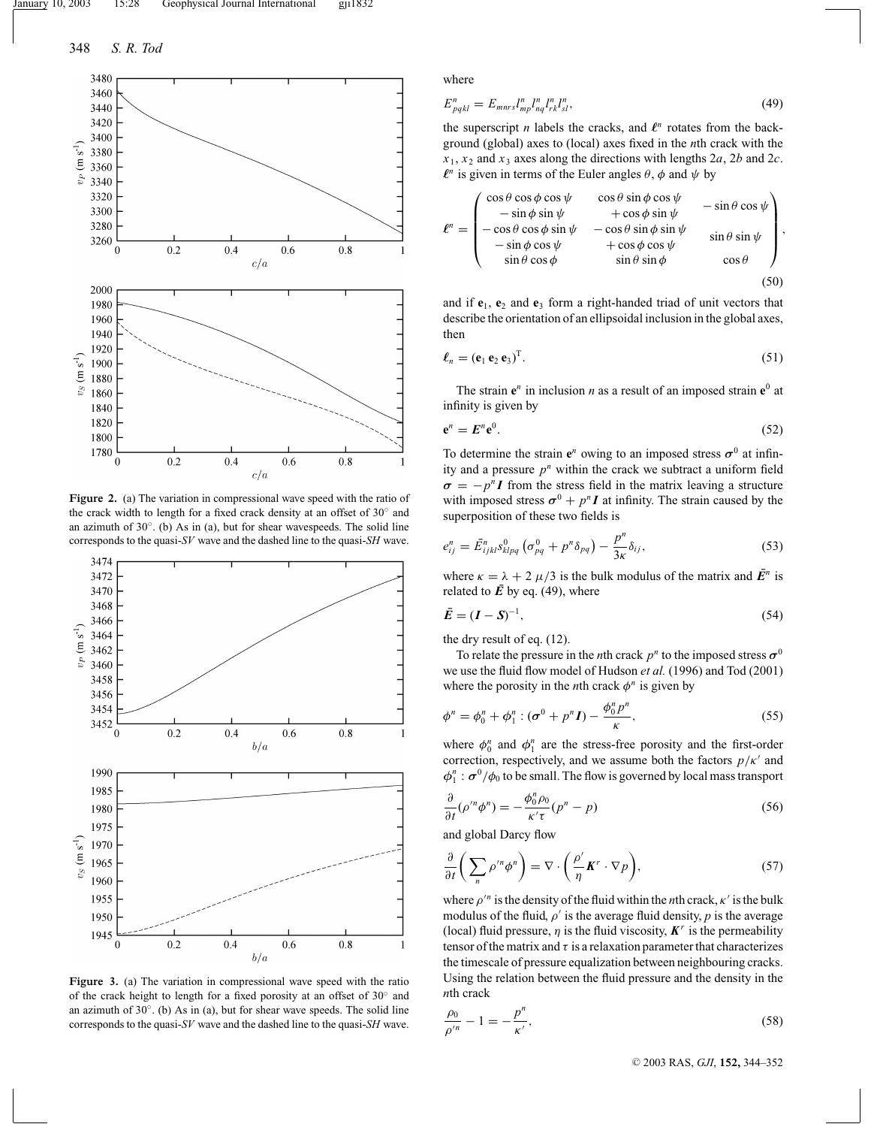

**Figure 2.** (a) The variation in compressional wave speed with the ratio of the crack width to length for a fixed crack density at an offset of 30◦ and an azimuth of  $30^\circ$ . (b) As in (a), but for shear wavespeeds. The solid line corresponds to the quasi-*SV* wave and the dashed line to the quasi-*SH* wave.



**Figure 3.** (a) The variation in compressional wave speed with the ratio of the crack height to length for a fixed porosity at an offset of 30◦ and an azimuth of 30◦. (b) As in (a), but for shear wave speeds. The solid line corresponds to the quasi-*SV* wave and the dashed line to the quasi-*SH* wave.

where

$$
E_{pqkl}^{n} = E_{mnrs} l_{mp}^{n} l_{nq}^{n} l_{rk}^{n} l_{sl}^{n},
$$
\n(49)

the superscript *n* labels the cracks, and  $\ell^n$  rotates from the background (global) axes to (local) axes fixed in the *n*th crack with the  $x_1, x_2$  and  $x_3$  axes along the directions with lengths 2*a*, 2*b* and 2*c*.  $\ell^n$  is given in terms of the Euler angles  $\theta$ ,  $\phi$  and  $\psi$  by

$$
\ell^{n} = \begin{pmatrix}\n\cos\theta\cos\phi\cos\psi & \cos\theta\sin\phi\cos\psi & -\sin\theta\cos\psi \\
-\sin\phi\sin\psi & +\cos\phi\sin\psi & -\sin\theta\cos\psi \\
-\cos\theta\cos\phi\sin\psi & -\cos\theta\sin\phi\sin\psi & \sin\theta\sin\psi \\
-\sin\phi\cos\psi & +\cos\phi\cos\psi & \sin\theta\sin\phi\n\end{pmatrix},
$$
\n(50)

and if **e**1, **e**<sup>2</sup> and **e**<sup>3</sup> form a right-handed triad of unit vectors that describe the orientation of an ellipsoidal inclusion in the global axes, then

$$
\ell_n = (\mathbf{e}_1 \, \mathbf{e}_2 \, \mathbf{e}_3)^T. \tag{51}
$$

The strain  $e^n$  in inclusion *n* as a result of an imposed strain  $e^0$  at infinity is given by

$$
\mathbf{e}^n = \mathbf{E}^n \mathbf{e}^0. \tag{52}
$$

To determine the strain  $e^n$  owing to an imposed stress  $\sigma^0$  at infinity and a pressure  $p<sup>n</sup>$  within the crack we subtract a uniform field  $\sigma = -p^n I$  from the stress field in the matrix leaving a structure with imposed stress  $\sigma^0 + p^n I$  at infinity. The strain caused by the superposition of these two fields is

$$
e_{ij}^n = \bar{E}_{ijkl}^n s_{klpq}^0 \left( \sigma_{pq}^0 + p^n \delta_{pq} \right) - \frac{p^n}{3\kappa} \delta_{ij}, \qquad (53)
$$

where  $\kappa = \lambda + 2 \mu/3$  is the bulk modulus of the matrix and  $\mathbf{E}^n$  is related to  $\overline{E}$  by eq. (49), where

$$
\bar{E} = (I - S)^{-1},\tag{54}
$$

the dry result of eq. (12).

To relate the pressure in the *n*th crack  $p^n$  to the imposed stress  $\sigma^0$ we use the fluid flow model of Hudson *et al.* (1996) and Tod (2001) where the porosity in the *n*th crack  $\phi^n$  is given by

$$
\phi^n = \phi_0^n + \phi_1^n : (\sigma^0 + p^n I) - \frac{\phi_0^n p^n}{\kappa},
$$
\n
$$
(55)
$$

where  $\phi_0^n$  and  $\phi_1^n$  are the stress-free porosity and the first-order correction, respectively, and we assume both the factors  $p/\kappa'$  and  $\phi_1^n$ :  $\sigma^0/\phi_0$  to be small. The flow is governed by local mass transport

$$
\frac{\partial}{\partial t}(\rho'^n \phi^n) = -\frac{\phi_0^n \rho_0}{\kappa' \tau}(p^n - p) \tag{56}
$$

and global Darcy flow

$$
\frac{\partial}{\partial t} \bigg( \sum_{n} \rho^{\prime n} \phi^{n} \bigg) = \nabla \cdot \bigg( \frac{\rho^{\prime}}{\eta} \boldsymbol{K}^{r} \cdot \nabla p \bigg),\tag{57}
$$

where  $\rho^n$  is the density of the fluid within the *n*th crack,  $\kappa'$  is the bulk modulus of the fluid,  $\rho'$  is the average fluid density,  $p$  is the average (local) fluid pressure,  $\eta$  is the fluid viscosity,  $K^r$  is the permeability tensor of the matrix and  $\tau$  is a relaxation parameter that characterizes the timescale of pressure equalization between neighbouring cracks. Using the relation between the fluid pressure and the density in the *n*th crack

$$
\frac{\rho_0}{\rho'^n} - 1 = -\frac{p^n}{\kappa'},\tag{58}
$$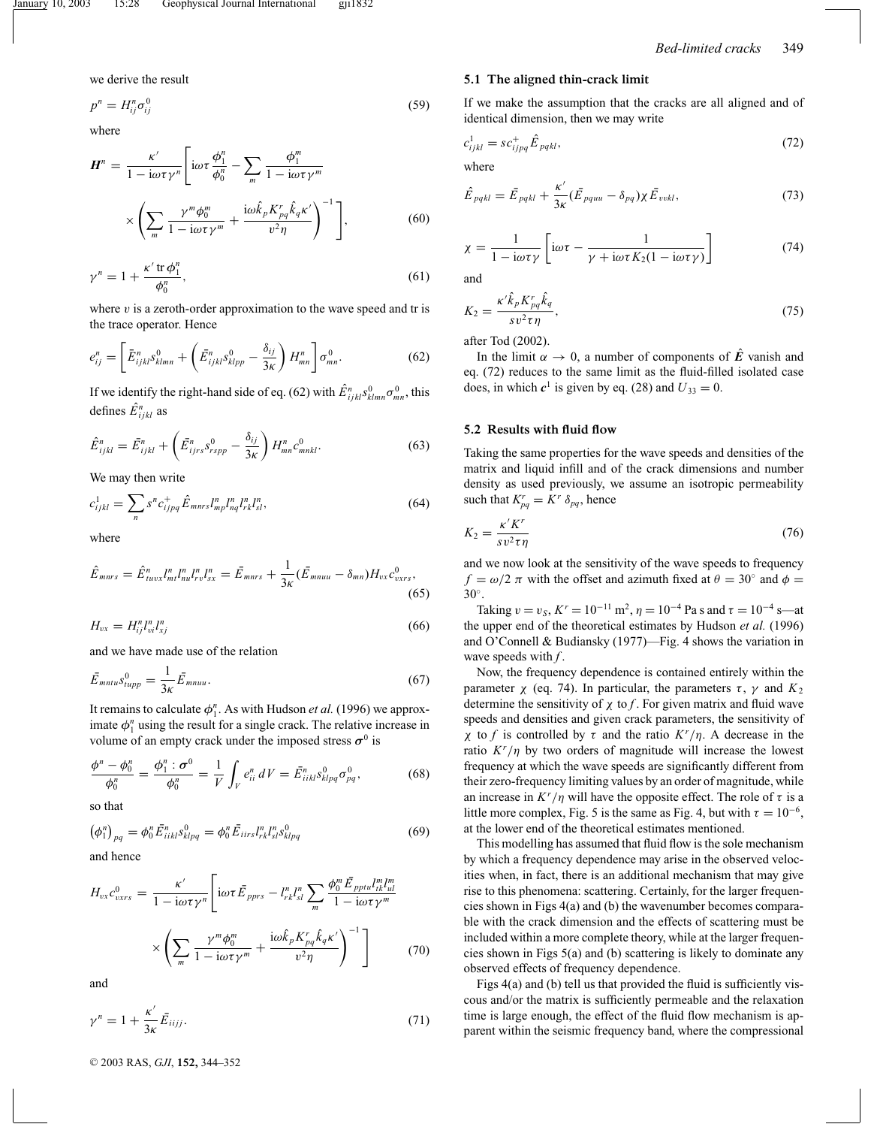we derive the result

$$
p^n = H_{ij}^n \sigma_{ij}^0 \tag{59}
$$

where

$$
\mathbf{H}^{n} = \frac{\kappa'}{1 - i\omega\tau\gamma^{n}} \left[ i\omega\tau \frac{\phi_{1}^{n}}{\phi_{0}^{n}} - \sum_{m} \frac{\phi_{1}^{m}}{1 - i\omega\tau\gamma^{m}} \right]
$$

$$
\times \left( \sum_{m} \frac{\gamma^{m} \phi_{0}^{m}}{1 - i\omega\tau\gamma^{m}} + \frac{i\omega \hat{k}_{p} K_{pq}^{r} \hat{k}_{q} \kappa'}{v^{2} \eta} \right)^{-1} \right], \tag{60}
$$

$$
\gamma^n = 1 + \frac{\kappa' \operatorname{tr} \phi_1^n}{\phi_0^n},\tag{61}
$$

where  $v$  is a zeroth-order approximation to the wave speed and tr is the trace operator. Hence

$$
e_{ij}^{n} = \left[ \bar{E}_{ijkl}^{n} s_{klmn}^{0} + \left( \bar{E}_{ijkl}^{n} s_{klpp}^{0} - \frac{\delta_{ij}}{3\kappa} \right) H_{mn}^{n} \right] \sigma_{mn}^{0}.
$$
 (62)

If we identify the right-hand side of eq. (62) with  $\hat{E}_{ijkl}^n s_{klmn}^0 \sigma_{mn}^0$ , this defines  $\hat{E}^n_{ijkl}$  as

$$
\hat{E}_{ijkl}^n = \bar{E}_{ijkl}^n + \left(\bar{E}_{ijrs}^n s_{rspp}^0 - \frac{\delta_{ij}}{3\kappa}\right) H_{mn}^n c_{mnkl}^0.
$$
 (63)

We may then write

$$
c_{ijkl}^1 = \sum_n s^n c_{ijpq}^+ \hat{E}_{mnrs} I_{mp}^n I_{nq}^n I_{rk}^n I_{sl}^n,\tag{64}
$$

where

$$
\hat{E}_{mnrs} = \hat{E}_{tuvx}^n I_{ml}^n I_{ru}^n I_{rv}^n I_{sx}^n = \bar{E}_{mnrs} + \frac{1}{3\kappa} (\bar{E}_{mnuu} - \delta_{mn}) H_{vx} c_{vxrs}^0,
$$
\n(65)

$$
H_{vx} = H_{ij}^n I_{vi}^n I_{xj}^n \tag{66}
$$

and we have made use of the relation

$$
\bar{E}_{mntu} s_{tupp}^0 = \frac{1}{3\kappa} \bar{E}_{mnuu}.
$$
\n(67)

It remains to calculate  $\phi_1^n$ . As with Hudson *et al.* (1996) we approximate  $\phi_1^n$  using the result for a single crack. The relative increase in volume of an empty crack under the imposed stress  $\sigma^0$  is

$$
\frac{\phi^n - \phi_0^n}{\phi_0^n} = \frac{\phi_1^n : \sigma^0}{\phi_0^n} = \frac{1}{V} \int_V e_{ii}^n dV = \bar{E}_{iikl}^n s_{klpq}^0 \sigma_{pq}^0,
$$
 (68)

so that

$$
(\phi_1^n)_{pq} = \phi_0^n \bar{E}_{iikl}^n s_{klpq}^0 = \phi_0^n \bar{E}_{iirs} l_{rk}^n l_{sl}^n s_{klpq}^0 \tag{69}
$$

and hence

$$
H_{vx}c_{v xrs}^{0} = \frac{\kappa'}{1 - i\omega\tau\gamma^{n}} \left[ i\omega\tau \bar{E}_{pprs} - l_{rk}^{n}l_{sl}^{n} \sum_{m} \frac{\phi_{0}^{m} \bar{E}_{pptu}l_{ik}^{m}l_{ul}^{m}}{1 - i\omega\tau\gamma^{m}} \right]
$$

$$
\times \left( \sum_{m} \frac{\gamma^{m}\phi_{0}^{m}}{1 - i\omega\tau\gamma^{m}} + \frac{i\omega\hat{k}_{p}K_{pq}^{r}\hat{k}_{q}\kappa'}{v^{2}\eta} \right)^{-1} \right]
$$
(70)

and

$$
\gamma^n = 1 + \frac{\kappa'}{3\kappa} \bar{E}_{iijj}.
$$
\n<sup>(71)</sup>

<sup>C</sup> 2003 RAS, *GJI*, **152,** 344–352

#### **5.1 The aligned thin-crack limit**

If we make the assumption that the cracks are all aligned and of identical dimension, then we may write

$$
c_{ijkl}^1 = s c_{ijpq}^+ \hat{E}_{pqkl},\tag{72}
$$

where

$$
\hat{E}_{pqkl} = \bar{E}_{pqkl} + \frac{\kappa'}{3\kappa} (\bar{E}_{pquu} - \delta_{pq}) \chi \bar{E}_{vvkl},
$$
\n(73)

$$
\chi = \frac{1}{1 - i\omega\tau\gamma} \left[ i\omega\tau - \frac{1}{\gamma + i\omega\tau K_2(1 - i\omega\tau\gamma)} \right]
$$
(74)

and

$$
K_2 = \frac{\kappa' \hat{k}_p K_{pq}^r \hat{k}_q}{s v^2 \tau \eta},\tag{75}
$$

after Tod (2002).

In the limit  $\alpha \to 0$ , a number of components of  $\hat{E}$  vanish and eq. (72) reduces to the same limit as the fluid-filled isolated case does, in which  $c^1$  is given by eq. (28) and  $U_{33} = 0$ .

#### **5.2 Results with fluid flow**

Taking the same properties for the wave speeds and densities of the matrix and liquid infill and of the crack dimensions and number density as used previously, we assume an isotropic permeability such that  $K_{pq}^r = K^r \delta_{pq}$ , hence

$$
K_2 = \frac{\kappa' K'}{s v^2 \tau \eta} \tag{76}
$$

and we now look at the sensitivity of the wave speeds to frequency  $f = \omega/2 \pi$  with the offset and azimuth fixed at  $\theta = 30^\circ$  and  $\phi =$ 30◦.

Taking  $v = v_S$ ,  $K^r = 10^{-11}$  m<sup>2</sup>,  $\eta = 10^{-4}$  Pa s and  $\tau = 10^{-4}$  s—at the upper end of the theoretical estimates by Hudson *et al.* (1996) and O'Connell & Budiansky (1977)—Fig. 4 shows the variation in wave speeds with *f* .

Now, the frequency dependence is contained entirely within the parameter  $χ$  (eq. 74). In particular, the parameters  $τ$ ,  $γ$  and  $K_2$ determine the sensitivity of  $\chi$  to  $f$ . For given matrix and fluid wave speeds and densities and given crack parameters, the sensitivity of *χ* to *f* is controlled by τ and the ratio  $K^r/\eta$ . A decrease in the ratio  $K^r/\eta$  by two orders of magnitude will increase the lowest frequency at which the wave speeds are significantly different from their zero-frequency limiting values by an order of magnitude, while an increase in  $K^r/\eta$  will have the opposite effect. The role of  $\tau$  is a little more complex, Fig. 5 is the same as Fig. 4, but with  $\tau = 10^{-6}$ , at the lower end of the theoretical estimates mentioned.

This modelling has assumed that fluid flow is the sole mechanism by which a frequency dependence may arise in the observed velocities when, in fact, there is an additional mechanism that may give rise to this phenomena: scattering. Certainly, for the larger frequencies shown in Figs 4(a) and (b) the wavenumber becomes comparable with the crack dimension and the effects of scattering must be included within a more complete theory, while at the larger frequencies shown in Figs 5(a) and (b) scattering is likely to dominate any observed effects of frequency dependence.

Figs 4(a) and (b) tell us that provided the fluid is sufficiently viscous and/or the matrix is sufficiently permeable and the relaxation time is large enough, the effect of the fluid flow mechanism is apparent within the seismic frequency band, where the compressional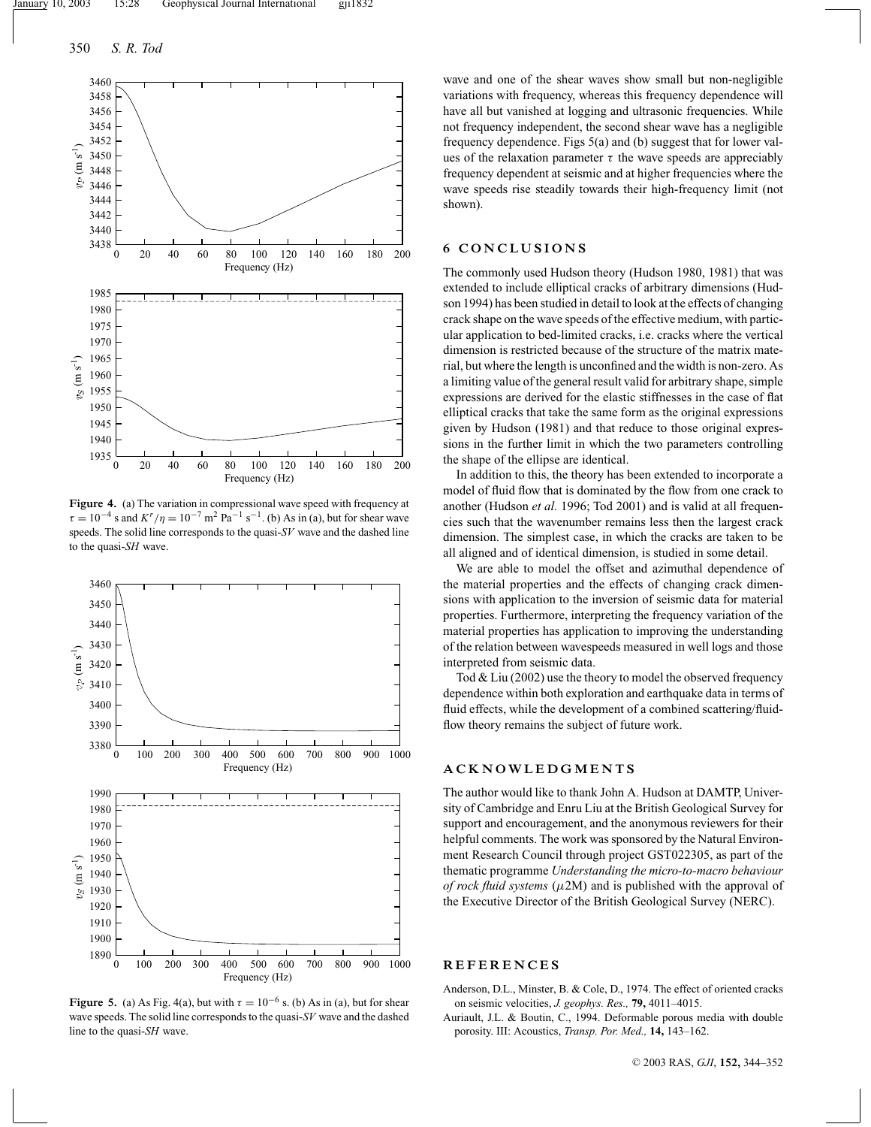

**Figure 4.** (a) The variation in compressional wave speed with frequency at  $\tau = 10^{-4}$  s and  $K^r/\eta = 10^{-7}$  m<sup>2</sup> Pa<sup>-1</sup> s<sup>-1</sup>. (b) As in (a), but for shear wave speeds. The solid line corresponds to the quasi-*SV* wave and the dashed line to the quasi-*SH* wave.



**Figure 5.** (a) As Fig. 4(a), but with  $\tau = 10^{-6}$  s. (b) As in (a), but for shear wave speeds. The solid line corresponds to the quasi-*SV* wave and the dashed line to the quasi-*SH* wave.

wave and one of the shear waves show small but non-negligible variations with frequency, whereas this frequency dependence will have all but vanished at logging and ultrasonic frequencies. While not frequency independent, the second shear wave has a negligible frequency dependence. Figs 5(a) and (b) suggest that for lower values of the relaxation parameter  $\tau$  the wave speeds are appreciably frequency dependent at seismic and at higher frequencies where the wave speeds rise steadily towards their high-frequency limit (not shown).

## **6 CONCLUSIONS**

The commonly used Hudson theory (Hudson 1980, 1981) that was extended to include elliptical cracks of arbitrary dimensions (Hudson 1994) has been studied in detail to look at the effects of changing crack shape on the wave speeds of the effective medium, with particular application to bed-limited cracks, i.e. cracks where the vertical dimension is restricted because of the structure of the matrix material, but where the length is unconfined and the width is non-zero. As a limiting value of the general result valid for arbitrary shape, simple expressions are derived for the elastic stiffnesses in the case of flat elliptical cracks that take the same form as the original expressions given by Hudson (1981) and that reduce to those original expressions in the further limit in which the two parameters controlling the shape of the ellipse are identical.

In addition to this, the theory has been extended to incorporate a model of fluid flow that is dominated by the flow from one crack to another (Hudson *et al.* 1996; Tod 2001) and is valid at all frequencies such that the wavenumber remains less then the largest crack dimension. The simplest case, in which the cracks are taken to be all aligned and of identical dimension, is studied in some detail.

We are able to model the offset and azimuthal dependence of the material properties and the effects of changing crack dimensions with application to the inversion of seismic data for material properties. Furthermore, interpreting the frequency variation of the material properties has application to improving the understanding of the relation between wavespeeds measured in well logs and those interpreted from seismic data.

Tod & Liu (2002) use the theory to model the observed frequency dependence within both exploration and earthquake data in terms of fluid effects, while the development of a combined scattering/fluidflow theory remains the subject of future work.

#### **ACKNOWLEDGMENTS**

The author would like to thank John A. Hudson at DAMTP, University of Cambridge and Enru Liu at the British Geological Survey for support and encouragement, and the anonymous reviewers for their helpful comments. The work was sponsored by the Natural Environment Research Council through project GST022305, as part of the thematic programme *Understanding the micro-to-macro behaviour of rock fluid systems* ( $\mu$ 2M) and is published with the approval of the Executive Director of the British Geological Survey (NERC).

#### **REFERENCES**

Anderson, D.L., Minster, B. & Cole, D., 1974. The effect of oriented cracks on seismic velocities, *J. geophys. Res.,* **79,** 4011–4015.

Auriault, J.L. & Boutin, C., 1994. Deformable porous media with double porosity. III: Acoustics, *Transp. Por. Med.,* **14,** 143–162.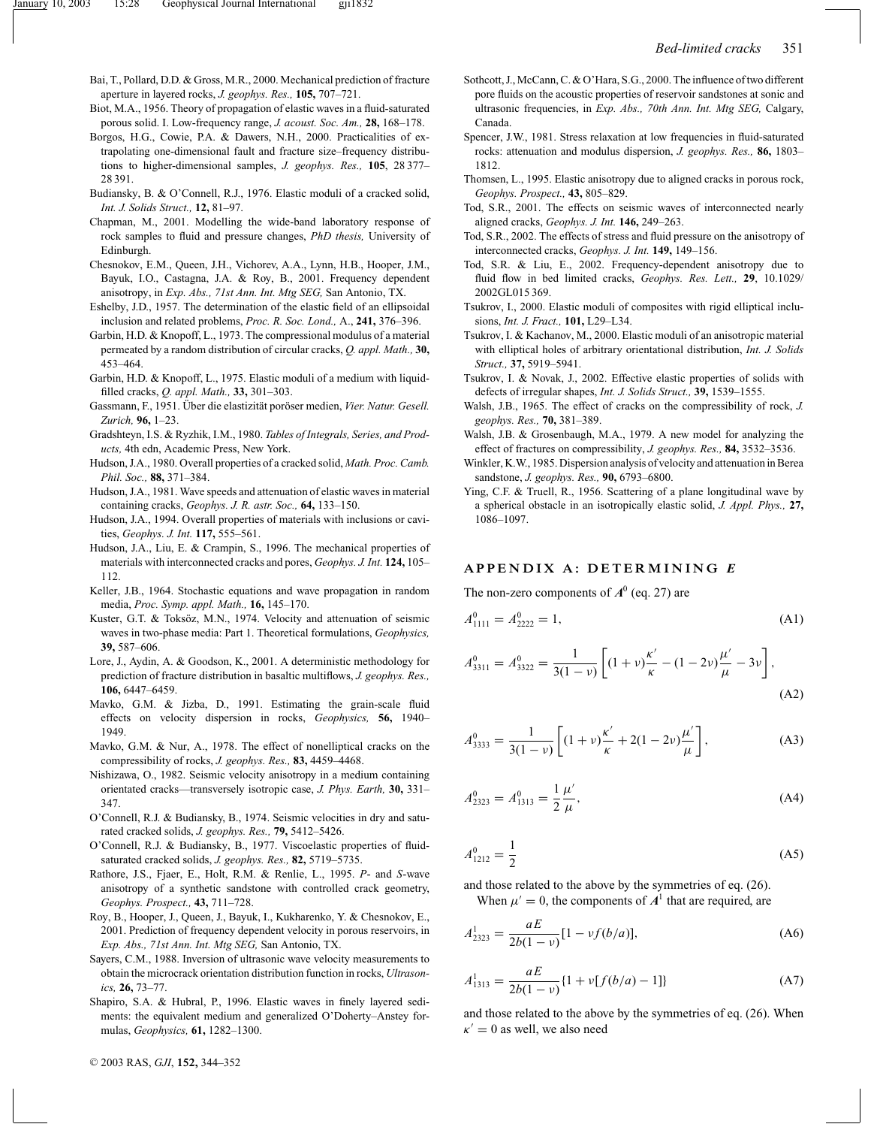- Bai, T., Pollard, D.D. & Gross, M.R., 2000. Mechanical prediction of fracture aperture in layered rocks, *J. geophys. Res.,* **105,** 707–721.
- Biot, M.A., 1956. Theory of propagation of elastic waves in a fluid-saturated porous solid. I. Low-frequency range, *J. acoust. Soc. Am.,* **28,** 168–178.
- Borgos, H.G., Cowie, P.A. & Dawers, N.H., 2000. Practicalities of extrapolating one-dimensional fault and fracture size–frequency distributions to higher-dimensional samples, *J. geophys. Res.,* **105**, 28 377– 28 391.
- Budiansky, B. & O'Connell, R.J., 1976. Elastic moduli of a cracked solid, *Int. J. Solids Struct.,* **12,** 81–97.
- Chapman, M., 2001. Modelling the wide-band laboratory response of rock samples to fluid and pressure changes, *PhD thesis,* University of Edinburgh.
- Chesnokov, E.M., Queen, J.H., Vichorev, A.A., Lynn, H.B., Hooper, J.M., Bayuk, I.O., Castagna, J.A. & Roy, B., 2001. Frequency dependent anisotropy, in *Exp. Abs., 71st Ann. Int. Mtg SEG,* San Antonio, TX.
- Eshelby, J.D., 1957. The determination of the elastic field of an ellipsoidal inclusion and related problems, *Proc. R. Soc. Lond.,* A., **241,** 376–396.
- Garbin, H.D. & Knopoff, L., 1973. The compressional modulus of a material permeated by a random distribution of circular cracks, *Q. appl. Math.,* **30,** 453–464.
- Garbin, H.D. & Knopoff, L., 1975. Elastic moduli of a medium with liquidfilled cracks, *Q. appl. Math.,* **33,** 301–303.
- Gassmann, F., 1951. Über die elastizität poröser medien, Vier. Natur. Gesell. *Zurich,* **96,** 1–23.
- Gradshteyn, I.S. & Ryzhik, I.M., 1980. *Tables of Integrals, Series, and Products,* 4th edn, Academic Press, New York.
- Hudson, J.A., 1980. Overall properties of a cracked solid, *Math. Proc. Camb. Phil. Soc.,* **88,** 371–384.
- Hudson, J.A., 1981. Wave speeds and attenuation of elastic waves in material containing cracks, *Geophys. J. R. astr. Soc.,* **64,** 133–150.
- Hudson, J.A., 1994. Overall properties of materials with inclusions or cavities, *Geophys. J. Int.* **117,** 555–561.
- Hudson, J.A., Liu, E. & Crampin, S., 1996. The mechanical properties of materials with interconnected cracks and pores, *Geophys. J. Int.* **124,** 105– 112.
- Keller, J.B., 1964. Stochastic equations and wave propagation in random media, *Proc. Symp. appl. Math.,* **16,** 145–170.
- Kuster, G.T. & Toksöz, M.N., 1974. Velocity and attenuation of seismic waves in two-phase media: Part 1. Theoretical formulations, *Geophysics,* **39,** 587–606.
- Lore, J., Aydin, A. & Goodson, K., 2001. A deterministic methodology for prediction of fracture distribution in basaltic multiflows, *J. geophys. Res.,* **106,** 6447–6459.
- Mavko, G.M. & Jizba, D., 1991. Estimating the grain-scale fluid effects on velocity dispersion in rocks, *Geophysics,* **56,** 1940– 1949.
- Mavko, G.M. & Nur, A., 1978. The effect of nonelliptical cracks on the compressibility of rocks, *J. geophys. Res.,* **83,** 4459–4468.
- Nishizawa, O., 1982. Seismic velocity anisotropy in a medium containing orientated cracks—transversely isotropic case, *J. Phys. Earth,* **30,** 331– 347.
- O'Connell, R.J. & Budiansky, B., 1974. Seismic velocities in dry and saturated cracked solids, *J. geophys. Res.,* **79,** 5412–5426.
- O'Connell, R.J. & Budiansky, B., 1977. Viscoelastic properties of fluidsaturated cracked solids, *J. geophys. Res.,* **82,** 5719–5735.
- Rathore, J.S., Fjaer, E., Holt, R.M. & Renlie, L., 1995. *P* and *S*-wave anisotropy of a synthetic sandstone with controlled crack geometry, *Geophys. Prospect.,* **43,** 711–728.
- Roy, B., Hooper, J., Queen, J., Bayuk, I., Kukharenko, Y. & Chesnokov, E., 2001. Prediction of frequency dependent velocity in porous reservoirs, in *Exp. Abs., 71st Ann. Int. Mtg SEG,* San Antonio, TX.
- Sayers, C.M., 1988. Inversion of ultrasonic wave velocity measurements to obtain the microcrack orientation distribution function in rocks, *Ultrasonics,* **26,** 73–77.
- Shapiro, S.A. & Hubral, P., 1996. Elastic waves in finely layered sediments: the equivalent medium and generalized O'Doherty–Anstey formulas, *Geophysics,* **61,** 1282–1300.
- Sothcott, J., McCann, C. & O'Hara, S.G., 2000. The influence of two different pore fluids on the acoustic properties of reservoir sandstones at sonic and ultrasonic frequencies, in *Exp. Abs., 70th Ann. Int. Mtg SEG,* Calgary, Canada.
- Spencer, J.W., 1981. Stress relaxation at low frequencies in fluid-saturated rocks: attenuation and modulus dispersion, *J. geophys. Res.,* **86,** 1803– 1812.
- Thomsen, L., 1995. Elastic anisotropy due to aligned cracks in porous rock, *Geophys. Prospect.,* **43,** 805–829.
- Tod, S.R., 2001. The effects on seismic waves of interconnected nearly aligned cracks, *Geophys. J. Int.* **146,** 249–263.
- Tod, S.R., 2002. The effects of stress and fluid pressure on the anisotropy of interconnected cracks, *Geophys. J. Int.* **149,** 149–156.
- Tod, S.R. & Liu, E., 2002. Frequency-dependent anisotropy due to fluid flow in bed limited cracks, *Geophys. Res. Lett.,* **29**, 10.1029/ 2002GL015 369.
- Tsukrov, I., 2000. Elastic moduli of composites with rigid elliptical inclusions, *Int. J. Fract.,* **101,** L29–L34.
- Tsukrov, I. & Kachanov, M., 2000. Elastic moduli of an anisotropic material with elliptical holes of arbitrary orientational distribution, *Int. J. Solids Struct.,* **37,** 5919–5941.
- Tsukrov, I. & Novak, J., 2002. Effective elastic properties of solids with defects of irregular shapes, *Int. J. Solids Struct.,* **39,** 1539–1555.
- Walsh, J.B., 1965. The effect of cracks on the compressibility of rock, *J. geophys. Res.,* **70,** 381–389.
- Walsh, J.B. & Grosenbaugh, M.A., 1979. A new model for analyzing the effect of fractures on compressibility, *J. geophys. Res.,* **84,** 3532–3536.
- Winkler, K.W., 1985. Dispersion analysis of velocity and attenuation in Berea sandstone, *J. geophys. Res.,* **90,** 6793–6800.
- Ying, C.F. & Truell, R., 1956. Scattering of a plane longitudinal wave by a spherical obstacle in an isotropically elastic solid, *J. Appl. Phys.,* **27,** 1086–1097.

## **APPENDIX A: DETERMINING** *E*

The non-zero components of  $A^0$  (eq. 27) are

$$
A_{1111}^0 = A_{2222}^0 = 1,\tag{A1}
$$

$$
A_{3311}^0 = A_{3322}^0 = \frac{1}{3(1-\nu)} \left[ (1+\nu)\frac{\kappa'}{\kappa} - (1-2\nu)\frac{\mu'}{\mu} - 3\nu \right],
$$
\n(A2)

$$
A_{3333}^0 = \frac{1}{3(1-\nu)} \left[ (1+\nu)\frac{\kappa'}{\kappa} + 2(1-2\nu)\frac{\mu'}{\mu} \right],
$$
 (A3)

$$
A_{2323}^0 = A_{1313}^0 = \frac{1}{2} \frac{\mu'}{\mu},
$$
 (A4)

$$
A_{1212}^0 = \frac{1}{2} \tag{A5}
$$

and those related to the above by the symmetries of eq. (26).

When  $\mu' = 0$ , the components of  $A<sup>1</sup>$  that are required, are

$$
A_{2323}^1 = \frac{aE}{2b(1-\nu)}[1 - \nu f(b/a)],\tag{A6}
$$

$$
A_{1313}^1 = \frac{aE}{2b(1 - v)} \{1 + v[f(b/a) - 1]\}
$$
 (A7)

and those related to the above by the symmetries of eq. (26). When  $\kappa' = 0$  as well, we also need